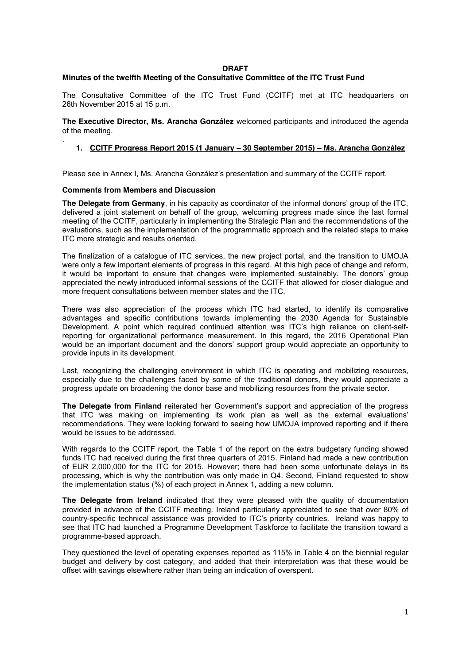#### **DRAFT**

# **Minutes of the twelfth Meeting of the Consultative Committee of the ITC Trust Fund**

The Consultative Committee of the ITC Trust Fund (CCITF) met at ITC headquarters on 26th November 2015 at 15 p.m.

**The Executive Director, Ms. Arancha González** welcomed participants and introduced the agenda of the meeting.

# **1. CCITF Progress Report 2015 (1 January – 30 September 2015) – Ms. Arancha González**

Please see in Annex I, Ms. Arancha González's presentation and summary of the CCITF report.

## **Comments from Members and Discussion**

.

**The Delegate from Germany**, in his capacity as coordinator of the informal donors' group of the ITC, delivered a joint statement on behalf of the group, welcoming progress made since the last formal meeting of the CCITF, particularly in implementing the Strategic Plan and the recommendations of the evaluations, such as the implementation of the programmatic approach and the related steps to make ITC more strategic and results oriented.

The finalization of a catalogue of ITC services, the new project portal, and the transition to UMOJA were only a few important elements of progress in this regard. At this high pace of change and reform, it would be important to ensure that changes were implemented sustainably. The donors' group appreciated the newly introduced informal sessions of the CCITF that allowed for closer dialogue and more frequent consultations between member states and the ITC.

There was also appreciation of the process which ITC had started, to identify its comparative advantages and specific contributions towards implementing the 2030 Agenda for Sustainable Development. A point which required continued attention was ITC's high reliance on client-selfreporting for organizational performance measurement. In this regard, the 2016 Operational Plan would be an important document and the donors' support group would appreciate an opportunity to provide inputs in its development.

Last, recognizing the challenging environment in which ITC is operating and mobilizing resources, especially due to the challenges faced by some of the traditional donors, they would appreciate a progress update on broadening the donor base and mobilizing resources from the private sector.

**The Delegate from Finland** reiterated her Government's support and appreciation of the progress that ITC was making on implementing its work plan as well as the external evaluations' recommendations. They were looking forward to seeing how UMOJA improved reporting and if there would be issues to be addressed.

With regards to the CCITF report, the Table 1 of the report on the extra budgetary funding showed funds ITC had received during the first three quarters of 2015. Finland had made a new contribution of EUR 2,000,000 for the ITC for 2015. However; there had been some unfortunate delays in its processing, which is why the contribution was only made in Q4. Second, Finland requested to show the implementation status (%) of each project in Annex 1, adding a new column.

**The Delegate from Ireland** indicated that they were pleased with the quality of documentation provided in advance of the CCITF meeting. Ireland particularly appreciated to see that over 80% of country-specific technical assistance was provided to ITC's priority countries. Ireland was happy to see that ITC had launched a Programme Development Taskforce to facilitate the transition toward a programme-based approach.

They questioned the level of operating expenses reported as 115% in Table 4 on the biennial regular budget and delivery by cost category, and added that their interpretation was that these would be offset with savings elsewhere rather than being an indication of overspent.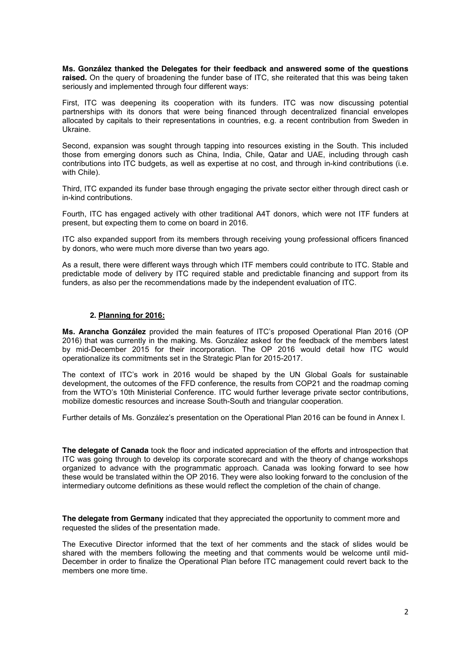**Ms. González thanked the Delegates for their feedback and answered some of the questions raised.** On the query of broadening the funder base of ITC, she reiterated that this was being taken seriously and implemented through four different ways:

First, ITC was deepening its cooperation with its funders. ITC was now discussing potential partnerships with its donors that were being financed through decentralized financial envelopes allocated by capitals to their representations in countries, e.g. a recent contribution from Sweden in Ukraine.

Second, expansion was sought through tapping into resources existing in the South. This included those from emerging donors such as China, India, Chile, Qatar and UAE, including through cash contributions into ITC budgets, as well as expertise at no cost, and through in-kind contributions (i.e. with Chile).

Third, ITC expanded its funder base through engaging the private sector either through direct cash or in-kind contributions.

Fourth, ITC has engaged actively with other traditional A4T donors, which were not ITF funders at present, but expecting them to come on board in 2016.

ITC also expanded support from its members through receiving young professional officers financed by donors, who were much more diverse than two years ago.

As a result, there were different ways through which ITF members could contribute to ITC. Stable and predictable mode of delivery by ITC required stable and predictable financing and support from its funders, as also per the recommendations made by the independent evaluation of ITC.

# **2. Planning for 2016:**

**Ms. Arancha González** provided the main features of ITC's proposed Operational Plan 2016 (OP 2016) that was currently in the making. Ms. González asked for the feedback of the members latest by mid-December 2015 for their incorporation. The OP 2016 would detail how ITC would operationalize its commitments set in the Strategic Plan for 2015-2017.

The context of ITC's work in 2016 would be shaped by the UN Global Goals for sustainable development, the outcomes of the FFD conference, the results from COP21 and the roadmap coming from the WTO's 10th Ministerial Conference. ITC would further leverage private sector contributions, mobilize domestic resources and increase South-South and triangular cooperation.

Further details of Ms. González's presentation on the Operational Plan 2016 can be found in Annex I.

**The delegate of Canada** took the floor and indicated appreciation of the efforts and introspection that ITC was going through to develop its corporate scorecard and with the theory of change workshops organized to advance with the programmatic approach. Canada was looking forward to see how these would be translated within the OP 2016. They were also looking forward to the conclusion of the intermediary outcome definitions as these would reflect the completion of the chain of change.

**The delegate from Germany** indicated that they appreciated the opportunity to comment more and requested the slides of the presentation made.

The Executive Director informed that the text of her comments and the stack of slides would be shared with the members following the meeting and that comments would be welcome until mid-December in order to finalize the Operational Plan before ITC management could revert back to the members one more time.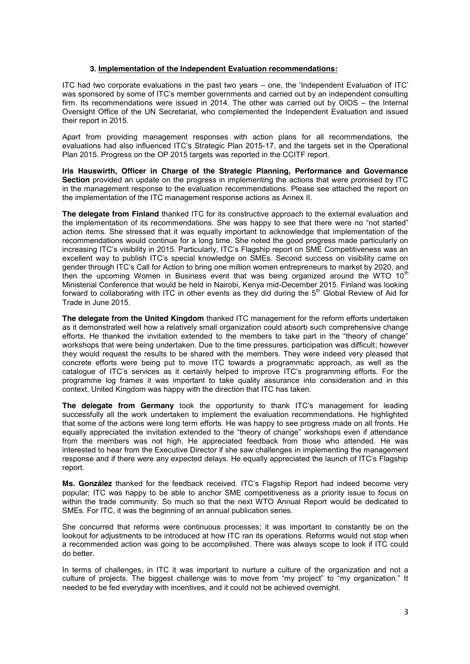# **3. Implementation of the Independent Evaluation recommendations:**

ITC had two corporate evaluations in the past two years – one, the 'Independent Evaluation of ITC' was sponsored by some of ITC's member governments and carried out by an independent consulting firm. Its recommendations were issued in 2014. The other was carried out by OIOS – the Internal Oversight Office of the UN Secretariat, who complemented the Independent Evaluation and issued their report in 2015.

Apart from providing management responses with action plans for all recommendations, the evaluations had also influenced ITC's Strategic Plan 2015-17, and the targets set in the Operational Plan 2015. Progress on the OP 2015 targets was reported in the CCITF report.

**Iris Hauswirth, Officer in Charge of the Strategic Planning, Performance and Governance Section** provided an update on the progress in implementing the actions that were promised by ITC in the management response to the evaluation recommendations. Please see attached the report on the implementation of the ITC management response actions as Annex II.

**The delegate from Finland** thanked ITC for its constructive approach to the external evaluation and the implementation of its recommendations. She was happy to see that there were no "not started" action items. She stressed that it was equally important to acknowledge that implementation of the recommendations would continue for a long time. She noted the good progress made particularly on increasing ITC's visibility in 2015. Particularly, ITC's Flagship report on SME Competitiveness was an excellent way to publish ITC's special knowledge on SMEs. Second success on visibility came on gender through ITC's Call for Action to bring one million women entrepreneurs to market by 2020, and then the upcoming Women in Business event that was being organized around the WTO  $10<sup>th</sup>$ Ministerial Conference that would be held in Nairobi, Kenya mid-December 2015. Finland was looking forward to collaborating with ITC in other events as they did during the 5<sup>th</sup> Global Review of Aid for Trade in June 2015.

**The delegate from the United Kingdom** thanked ITC management for the reform efforts undertaken as it demonstrated well how a relatively small organization could absorb such comprehensive change efforts. He thanked the invitation extended to the members to take part in the "theory of change" workshops that were being undertaken. Due to the time pressures, participation was difficult; however they would request the results to be shared with the members. They were indeed very pleased that concrete efforts were being put to move ITC towards a programmatic approach, as well as the catalogue of ITC's services as it certainly helped to improve ITC's programming efforts. For the programme log frames it was important to take quality assurance into consideration and in this context, United Kingdom was happy with the direction that ITC has taken.

**The delegate from Germany** took the opportunity to thank ITC's management for leading successfully all the work undertaken to implement the evaluation recommendations. He highlighted that some of the actions were long term efforts. He was happy to see progress made on all fronts. He equally appreciated the invitation extended to the "theory of change" workshops even if attendance from the members was not high. He appreciated feedback from those who attended. He was interested to hear from the Executive Director if she saw challenges in implementing the management response and if there were any expected delays. He equally appreciated the launch of ITC's Flagship report.

**Ms. González** thanked for the feedback received. ITC's Flagship Report had indeed become very popular; ITC was happy to be able to anchor SME competitiveness as a priority issue to focus on within the trade community. So much so that the next WTO Annual Report would be dedicated to SMEs. For ITC, it was the beginning of an annual publication series.

She concurred that reforms were continuous processes; it was important to constantly be on the lookout for adjustments to be introduced at how ITC ran its operations. Reforms would not stop when a recommended action was going to be accomplished. There was always scope to look if ITC could do better.

In terms of challenges, in ITC it was important to nurture a culture of the organization and not a culture of projects. The biggest challenge was to move from "my project" to "my organization." It needed to be fed everyday with incentives, and it could not be achieved overnight.